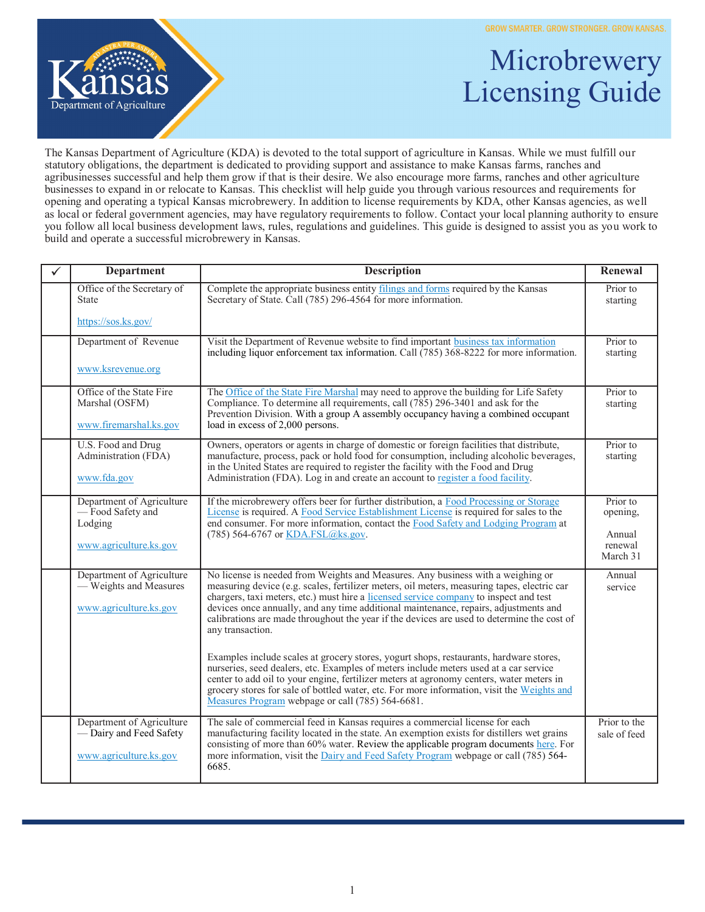**GROW SMARTER. GROW STRONGER. GROW KANSAS.** 



## Microbrewery Licensing Guide

The Kansas Department of Agriculture (KDA) is devoted to the total support of agriculture in Kansas. While we must fulfill our statutory obligations, the department is dedicated to providing support and assistance to make Kansas farms, ranches and agribusinesses successful and help them grow if that is their desire. We also encourage more farms, ranches and other agriculture businesses to expand in or relocate to Kansas. This checklist will help guide you through various resources and requirements for opening and operating a typical Kansas microbrewery. In addition to license requirements by KDA, other Kansas agencies, as well as local or federal government agencies, may have regulatory requirements to follow. Contact your local planning authority to ensure you follow all local business development laws, rules, regulations and guidelines. This guide is designed to assist you as you work to build and operate a successful microbrewery in Kansas.

| <b>Department</b>                                                              | <b>Description</b>                                                                                                                                                                                                                                                                                                                                                                                                                                                                | Renewal                       |
|--------------------------------------------------------------------------------|-----------------------------------------------------------------------------------------------------------------------------------------------------------------------------------------------------------------------------------------------------------------------------------------------------------------------------------------------------------------------------------------------------------------------------------------------------------------------------------|-------------------------------|
| Office of the Secretary of<br><b>State</b>                                     | Complete the appropriate business entity filings and forms required by the Kansas<br>Secretary of State. Call (785) 296-4564 for more information.                                                                                                                                                                                                                                                                                                                                | Prior to<br>starting          |
| https://sos.ks.gov/                                                            |                                                                                                                                                                                                                                                                                                                                                                                                                                                                                   |                               |
| Department of Revenue<br>www.ksrevenue.org                                     | Visit the Department of Revenue website to find important business tax information<br>including liquor enforcement tax information. Call (785) 368-8222 for more information.                                                                                                                                                                                                                                                                                                     | Prior to<br>starting          |
|                                                                                |                                                                                                                                                                                                                                                                                                                                                                                                                                                                                   |                               |
| Office of the State Fire<br>Marshal (OSFM)<br>www.firemarshal.ks.gov           | The Office of the State Fire Marshal may need to approve the building for Life Safety<br>Compliance. To determine all requirements, call (785) 296-3401 and ask for the<br>Prevention Division. With a group A assembly occupancy having a combined occupant<br>load in excess of 2,000 persons.                                                                                                                                                                                  | Prior to<br>starting          |
|                                                                                |                                                                                                                                                                                                                                                                                                                                                                                                                                                                                   |                               |
| U.S. Food and Drug<br>Administration (FDA)<br>www.fda.gov                      | Owners, operators or agents in charge of domestic or foreign facilities that distribute,<br>manufacture, process, pack or hold food for consumption, including alcoholic beverages,<br>in the United States are required to register the facility with the Food and Drug<br>Administration (FDA). Log in and create an account to register a food facility.                                                                                                                       | Prior to<br>starting          |
| Department of Agriculture<br>-Food Safety and<br>Lodging                       | If the microbrewery offers beer for further distribution, a Food Processing or Storage<br>License is required. A Food Service Establishment License is required for sales to the<br>end consumer. For more information, contact the Food Safety and Lodging Program at                                                                                                                                                                                                            | Prior to<br>opening,          |
| www.agriculture.ks.gov                                                         | (785) 564-6767 or KDA.FSL@ks.gov.                                                                                                                                                                                                                                                                                                                                                                                                                                                 | Annual<br>renewal<br>March 31 |
| Department of Agriculture<br>- Weights and Measures<br>www.agriculture.ks.gov  | No license is needed from Weights and Measures. Any business with a weighing or<br>measuring device (e.g. scales, fertilizer meters, oil meters, measuring tapes, electric car<br>chargers, taxi meters, etc.) must hire a licensed service company to inspect and test<br>devices once annually, and any time additional maintenance, repairs, adjustments and<br>calibrations are made throughout the year if the devices are used to determine the cost of<br>any transaction. | Annual<br>service             |
|                                                                                | Examples include scales at grocery stores, yogurt shops, restaurants, hardware stores,<br>nurseries, seed dealers, etc. Examples of meters include meters used at a car service<br>center to add oil to your engine, fertilizer meters at agronomy centers, water meters in<br>grocery stores for sale of bottled water, etc. For more information, visit the Weights and<br>Measures Program webpage or call (785) 564-6681.                                                     |                               |
| Department of Agriculture<br>- Dairy and Feed Safety<br>www.agriculture.ks.gov | The sale of commercial feed in Kansas requires a commercial license for each<br>manufacturing facility located in the state. An exemption exists for distillers wet grains<br>consisting of more than 60% water. Review the applicable program documents here. For<br>more information, visit the Dairy and Feed Safety Program webpage or call (785) 564-<br>6685.                                                                                                               | Prior to the<br>sale of feed  |